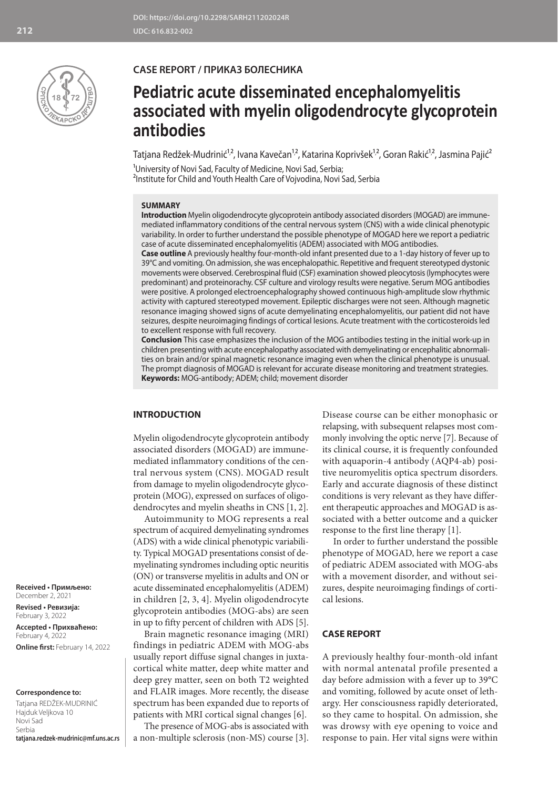

## **CASE REPORT / ПРИКАЗ БОЛЕСНИКА**

# **Pediatric acute disseminated encephalomyelitis associated with myelin oligodendrocyte glycoprotein antibodies**

Tatjana Redžek-Mudrinić'⁄-, Ivana Kavečan'<sup>,</sup> , Katarina Koprivšek'<sup>,</sup> , Goran Rakić'<sup>,</sup> , Jasmina Pajić<del>'</del>

<sup>1</sup>University of Novi Sad, Faculty of Medicine, Novi Sad, Serbia; <sup>2</sup>Institute for Child and Youth Health Care of Vojvodina, Novi Sad, Serbia

## **SUMMARY**

**Introduction** Myelin oligodendrocyte glycoprotein antibody associated disorders (MOGAD) are immunemediated inflammatory conditions of the central nervous system (CNS) with a wide clinical phenotypic variability. In order to further understand the possible phenotype of MOGAD here we report a pediatric case of acute disseminated encephalomyelitis (ADEM) associated with MOG antibodies.

**Case outline** A previously healthy four-month-old infant presented due to a 1-day history of fever up to 39°C and vomiting. On admission, she was encephalopathic. Repetitive and frequent stereotyped dystonic movements were observed. Cerebrospinal fluid (CSF) examination showed pleocytosis (lymphocytes were predominant) and proteinorachy. CSF culture and virology results were negative. Serum MOG antibodies were positive. A prolonged electroencephalography showed continuous high-amplitude slow rhythmic activity with captured stereotyped movement. Epileptic discharges were not seen. Although magnetic resonance imaging showed signs of acute demyelinating encephalomyelitis, our patient did not have seizures, despite neuroimaging findings of cortical lesions. Acute treatment with the corticosteroids led to excellent response with full recovery.

**Conclusion** This case emphasizes the inclusion of the MOG antibodies testing in the initial work-up in children presenting with acute encephalopathy associated with demyelinating or encephalitic abnormalities on brain and/or spinal magnetic resonance imaging even when the clinical phenotype is unusual. The prompt diagnosis of MOGAD is relevant for accurate disease monitoring and treatment strategies. **Keywords:** MOG-antibody; ADEM; child; movement disorder

## **INTRODUCTION**

Myelin oligodendrocyte glycoprotein antibody associated disorders (MOGAD) are immunemediated inflammatory conditions of the central nervous system (CNS). MOGAD result from damage to myelin oligodendrocyte glycoprotein (MOG), expressed on surfaces of oligodendrocytes and myelin sheaths in CNS [1, 2].

Autoimmunity to MOG represents a real spectrum of acquired demyelinating syndromes (ADS) with a wide clinical phenotypic variability. Typical MOGAD presentations consist of demyelinating syndromes including optic neuritis (ON) or transverse myelitis in adults and ON or acute disseminated encephalomyelitis (ADEM) in children [2, 3, 4]. Myelin oligodendrocyte glycoprotein antibodies (MOG-abs) are seen in up to fifty percent of children with ADS [5].

Brain magnetic resonance imaging (MRI) findings in pediatric ADEM with MOG-abs usually report diffuse signal changes in juxtacortical white matter, deep white matter and deep grey matter, seen on both T2 weighted and FLAIR images. More recently, the disease spectrum has been expanded due to reports of patients with MRI cortical signal changes [6].

The presence of MOG-abs is associated with a non-multiple sclerosis (non-MS) course [3]. Disease course can be either monophasic or relapsing, with subsequent relapses most commonly involving the optic nerve [7]. Because of its clinical course, it is frequently confounded with aquaporin-4 antibody (AQP4-ab) positive neuromyelitis optica spectrum disorders. Early and accurate diagnosis of these distinct conditions is very relevant as they have different therapeutic approaches and MOGAD is associated with a better outcome and a quicker response to the first line therapy [1].

In order to further understand the possible phenotype of MOGAD, here we report a case of pediatric ADEM associated with MOG-abs with a movement disorder, and without seizures, despite neuroimaging findings of cortical lesions.

## **CASE REPORT**

A previously healthy four-month-old infant with normal antenatal profile presented a day before admission with a fever up to 39°C and vomiting, followed by acute onset of lethargy. Her consciousness rapidly deteriorated, so they came to hospital. On admission, she was drowsy with eye opening to voice and response to pain. Her vital signs were within

**Received • Примљено:**  December 2, 2021

**Revised • Ревизија:**  February 3, 2022 **Accepted • Прихваћено:** February 4, 2022

**Online first:** February 14, 2022

#### **Correspondence to:**

Tatjana REDŽEK-MUDRINIĆ Hajduk Veljkova 10 Novi Sad Serbia **tatjana.redzek-mudrinic@mf.uns.ac.rs**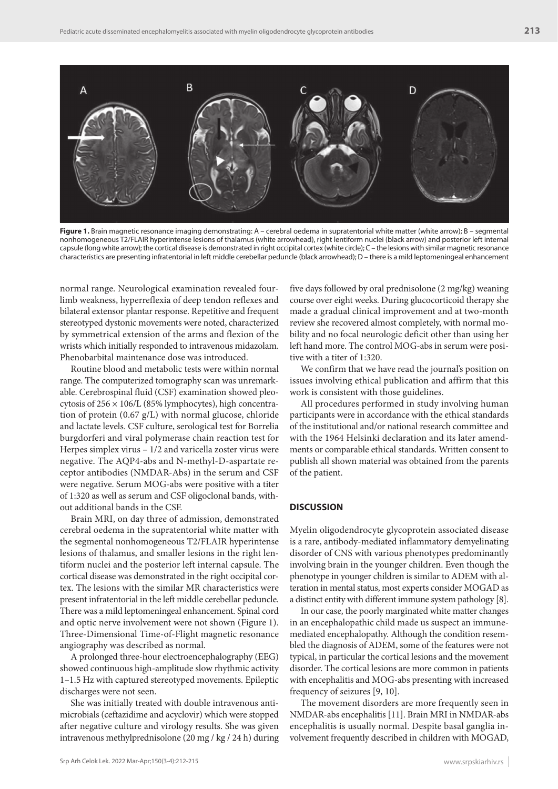

**Figure 1.** Brain magnetic resonance imaging demonstrating: A – cerebral oedema in supratentorial white matter (white arrow); B – segmental nonhomogeneous T2/FLAIR hyperintense lesions of thalamus (white arrowhead), right lentiform nuclei (black arrow) and posterior left internal capsule (long white arrow); the cortical disease is demonstrated in right occipital cortex (white circle); C – the lesions with similar magnetic resonance characteristics are presenting infratentorial in left middle cerebellar peduncle (black arrowhead); D – there is a mild leptomeningeal enhancement

normal range. Neurological examination revealed fourlimb weakness, hyperreflexia of deep tendon reflexes and bilateral extensor plantar response. Repetitive and frequent stereotyped dystonic movements were noted, characterized by symmetrical extension of the arms and flexion of the wrists which initially responded to intravenous midazolam. Phenobarbital maintenance dose was introduced.

Routine blood and metabolic tests were within normal range. The computerized tomography scan was unremarkable. Cerebrospinal fluid (CSF) examination showed pleocytosis of  $256 \times 106$ /L (85% lymphocytes), high concentration of protein (0.67 g/L) with normal glucose, chloride and lactate levels. CSF culture, serological test for Borrelia burgdorferi and viral polymerase chain reaction test for Herpes simplex virus – 1/2 and varicella zoster virus were negative. The AQP4-abs and N-methyl-D-aspartate receptor antibodies (NMDAR-Abs) in the serum and CSF were negative. Serum MOG-abs were positive with a titer of 1:320 as well as serum and CSF oligoclonal bands, without additional bands in the CSF.

Brain MRI, on day three of admission, demonstrated cerebral oedema in the supratentorial white matter with the segmental nonhomogeneous T2/FLAIR hyperintense lesions of thalamus, and smaller lesions in the right lentiform nuclei and the posterior left internal capsule. The cortical disease was demonstrated in the right occipital cortex. The lesions with the similar MR characteristics were present infratentorial in the left middle cerebellar peduncle. There was a mild leptomeningeal enhancement. Spinal cord and optic nerve involvement were not shown (Figure 1). Three-Dimensional Time-of-Flight magnetic resonance angiography was described as normal.

A prolonged three-hour electroencephalography (EEG) showed continuous high-amplitude slow rhythmic activity 1–1.5 Hz with captured stereotyped movements. Epileptic discharges were not seen.

She was initially treated with double intravenous antimicrobials (ceftazidime and acyclovir) which were stopped after negative culture and virology results. She was given intravenous methylprednisolone (20 mg / kg / 24 h) during

five days followed by oral prednisolone (2 mg/kg) weaning course over eight weeks. During glucocorticoid therapy she made a gradual clinical improvement and at two-month review she recovered almost completely, with normal mobility and no focal neurologic deficit other than using her left hand more. The control MOG-abs in serum were positive with a titer of 1:320.

We confirm that we have read the journal's position on issues involving ethical publication and affirm that this work is consistent with those guidelines.

All procedures performed in study involving human participants were in accordance with the ethical standards of the institutional and/or national research committee and with the 1964 Helsinki declaration and its later amendments or comparable ethical standards. Written consent to publish all shown material was obtained from the parents of the patient.

## **DISCUSSION**

Myelin oligodendrocyte glycoprotein associated disease is a rare, antibody-mediated inflammatory demyelinating disorder of CNS with various phenotypes predominantly involving brain in the younger children. Even though the phenotype in younger children is similar to ADEM with alteration in mental status, most experts consider MOGAD as a distinct entity with different immune system pathology [8].

In our case, the poorly marginated white matter changes in an encephalopathic child made us suspect an immunemediated encephalopathy. Although the condition resembled the diagnosis of ADEM, some of the features were not typical, in particular the cortical lesions and the movement disorder. The cortical lesions are more common in patients with encephalitis and MOG-abs presenting with increased frequency of seizures [9, 10].

The movement disorders are more frequently seen in NMDAR-abs encephalitis [11]. Brain MRI in NMDAR-abs encephalitis is usually normal. Despite basal ganglia involvement frequently described in children with MOGAD,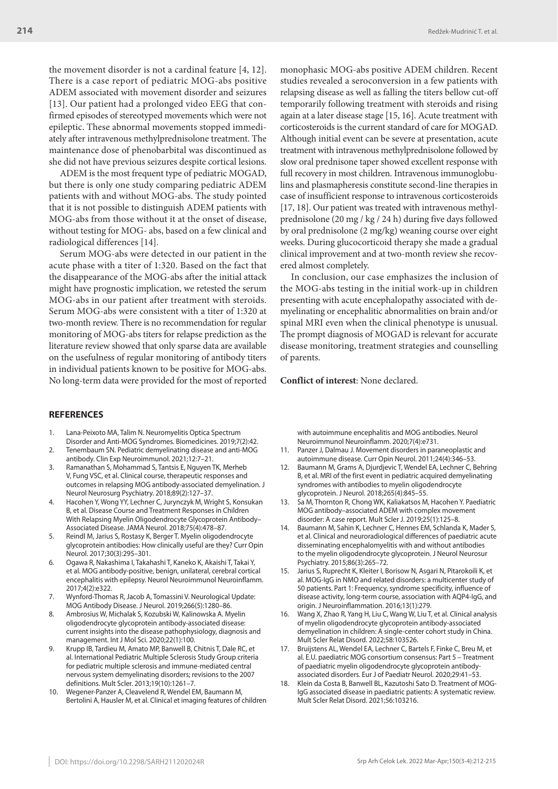the movement disorder is not a cardinal feature [4, 12]. There is a case report of pediatric MOG-abs positive ADEM associated with movement disorder and seizures [13]. Our patient had a prolonged video EEG that confirmed episodes of stereotyped movements which were not epileptic. These abnormal movements stopped immediately after intravenous methylprednisolone treatment. The maintenance dose of phenobarbital was discontinued as she did not have previous seizures despite cortical lesions.

ADEM is the most frequent type of pediatric MOGAD, but there is only one study comparing pediatric ADEM patients with and without MOG-abs. The study pointed that it is not possible to distinguish ADEM patients with MOG-abs from those without it at the onset of disease, without testing for MOG- abs, based on a few clinical and radiological differences [14].

Serum MOG-abs were detected in our patient in the acute phase with a titer of 1:320. Based on the fact that the disappearance of the MOG-abs after the initial attack might have prognostic implication, we retested the serum MOG-abs in our patient after treatment with steroids. Serum MOG-abs were consistent with a titer of 1:320 at two-month review. There is no recommendation for regular monitoring of MOG-abs titers for relapse prediction as the literature review showed that only sparse data are available on the usefulness of regular monitoring of antibody titers in individual patients known to be positive for MOG-abs. No long-term data were provided for the most of reported monophasic MOG-abs positive ADEM children. Recent studies revealed a seroconversion in a few patients with relapsing disease as well as falling the titers bellow cut-off temporarily following treatment with steroids and rising again at a later disease stage [15, 16]. Acute treatment with corticosteroids is the current standard of care for MOGAD. Although initial event can be severe at presentation, acute treatment with intravenous methylprednisolone followed by slow oral prednisone taper showed excellent response with full recovery in most children. Intravenous immunoglobulins and plasmapheresis constitute second-line therapies in case of insufficient response to intravenous corticosteroids [17, 18]. Our patient was treated with intravenous methylprednisolone (20 mg / kg / 24 h) during five days followed by oral prednisolone (2 mg/kg) weaning course over eight weeks. During glucocorticoid therapy she made a gradual clinical improvement and at two-month review she recovered almost completely.

In conclusion, our case emphasizes the inclusion of the MOG-abs testing in the initial work-up in children presenting with acute encephalopathy associated with demyelinating or encephalitic abnormalities on brain and/or spinal MRI even when the clinical phenotype is unusual. The prompt diagnosis of MOGAD is relevant for accurate disease monitoring, treatment strategies and counselling of parents.

**Conflict of interest**: None declared.

## **REFERENCES**

- 1. Lana-Peixoto MA, Talim N. Neuromyelitis Optica Spectrum Disorder and Anti-MOG Syndromes. Biomedicines. 2019;7(2):42.
- 2. Tenembaum SN. Pediatric demyelinating disease and anti-MOG antibody. Clin Exp Neuroimmunol. 2021;12:7–21.
- 3. Ramanathan S, Mohammad S, Tantsis E, Nguyen TK, Merheb V, Fung VSC, et al. Clinical course, therapeutic responses and outcomes in relapsing MOG antibody-associated demyelination. J Neurol Neurosurg Psychiatry. 2018;89(2):127–37.
- 4. Hacohen Y, Wong YY, Lechner C, Jurynczyk M, Wright S, Konsukan B, et al. Disease Course and Treatment Responses in Children With Relapsing Myelin Oligodendrocyte Glycoprotein Antibody– Associated Disease. JAMA Neurol. 2018;75(4):478–87.
- 5. Reindl M, Jarius S, Rostasy K, Berger T. Myelin oligodendrocyte glycoprotein antibodies: How clinically useful are they? Curr Opin Neurol. 2017;30(3):295–301.
- 6. Ogawa R, Nakashima I, Takahashi T, Kaneko K, Akaishi T, Takai Y, et al. MOG antibody-positive, benign, unilateral, cerebral cortical encephalitis with epilepsy. Neurol Neuroimmunol Neuroinflamm. 2017;4(2):e322.
- 7. Wynford-Thomas R, Jacob A, Tomassini V. Neurological Update: MOG Antibody Disease. J Neurol. 2019;266(5):1280–86.
- 8. Ambrosius W, Michalak S, Kozubski W, Kalinowska A. Myelin oligodendrocyte glycoprotein antibody-associated disease: current insights into the disease pathophysiology, diagnosis and management. Int J Mol Sci. 2020;22(1):100.
- 9. Krupp IB, Tardieu M, Amato MP, Banwell B, Chitnis T, Dale RC, et al. International Pediatric Multiple Sclerosis Study Group criteria for pediatric multiple sclerosis and immune-mediated central nervous system demyelinating disorders; revisions to the 2007 definitions. Mult Scler. 2013;19(10):1261–7.
- 10. Wegener-Panzer A, Cleavelend R, Wendel EM, Baumann M, Bertolini A, Hausler M, et al. Clinical et imaging features of children

with autoimmune encephalitis and MOG antibodies. Neurol Neuroimmunol Neuroinflamm. 2020;7(4):e731.

- 11. Panzer J, Dalmau J. Movement disorders in paraneoplastic and autoimmune disease. Curr Opin Neurol. 2011;24(4):346–53.
- 12. Baumann M, Grams A, Djurdjevic T, Wendel EA, Lechner C, Behring B, et al. MRI of the first event in pediatric acquired demyelinating syndromes with antibodies to myelin oligodendrocyte glycoprotein. J Neurol. 2018;265(4):845–55.
- 13. Sa M, Thornton R, Chong WK, Kaliakatsos M, Hacohen Y. Paediatric MOG antibody–associated ADEM with complex movement disorder: A case report. Mult Scler J. 2019;25(1):125–8.
- Baumann M, Sahin K, Lechner C, Hennes EM, Schlanda K, Mader S, et al. Clinical and neuroradiological differences of paediatric acute disseminating encephalomyelitis with and without antibodies to the myelin oligodendrocyte glycoprotein. J Neurol Neurosur Psychiatry. 2015;86(3):265–72.
- 15. Jarius S, Ruprecht K, Kleiter I, Borisow N, Asgari N, Pitarokoili K, et al. MOG-IgG in NMO and related disorders: a multicenter study of 50 patients. Part 1: Frequency, syndrome specificity, influence of disease activity, long-term course, association with AQP4-IgG, and origin. J Neuroinflammation. 2016;13(1):279.
- Wang X, Zhao R, Yang H, Liu C, Wang W, Liu T, et al. Clinical analysis of myelin oligodendrocyte glycoprotein antibody-associated demyelination in children: A single-center cohort study in China. Mult Scler Relat Disord. 2022;58:103526.
- 17. Bruijstens AL, Wendel EA, Lechner C, Bartels F, Finke C, Breu M, et al. E.U. paediatric MOG consortium consensus: Part 5 – Treatment of paediatric myelin oligodendrocyte glycoprotein antibodyassociated disorders. Eur J of Paediatr Neurol. 2020;29:41–53.
- Klein da Costa B, Banwell BL, Kazutoshi Sato D. Treatment of MOG-IgG associated disease in paediatric patients: A systematic review. Mult Scler Relat Disord. 2021;56:103216.